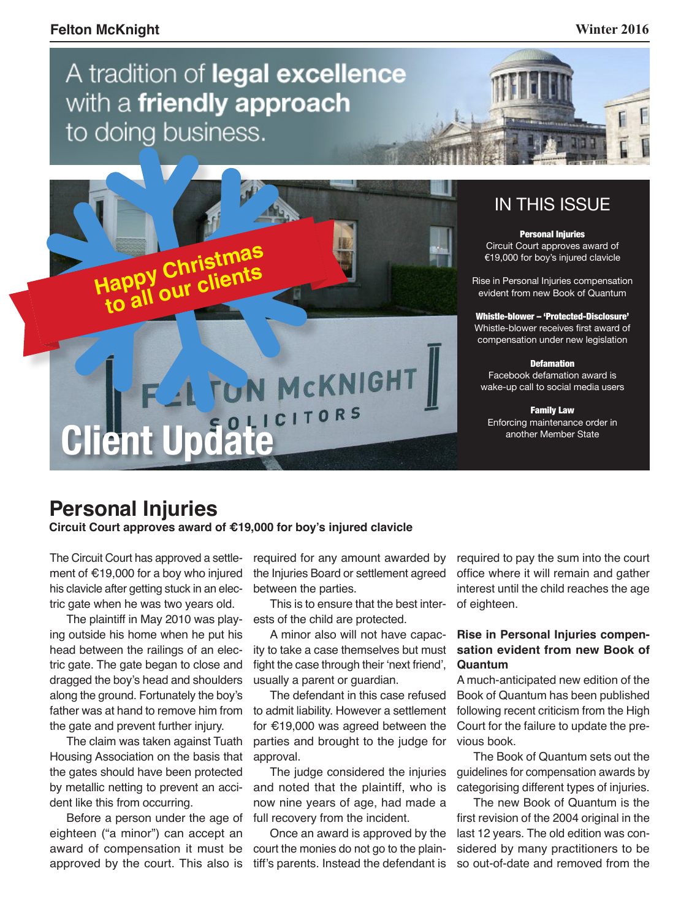## A tradition of legal excellence with a friendly approach to doing business.



### IN THIS ISSUE

Personal Injuries Circuit Court approves award of €19,000 for boy's injured clavicle

Rise in Personal Injuries compensation evident from new Book of Quantum

Whistle-blower – 'Protected-Disclosure' Whistle-blower receives first award of compensation under new legislation

**Defamation** 

Facebook defamation award is wake-up call to social media users

Family Law Enforcing maintenance order in another Member State

### **Personal Injuries**

**Circuit Court approves award of €19,000 for boy's injured clavicle**

The Circuit Court has approved a settlement of €19,000 for a boy who injured his clavicle after getting stuck in an electric gate when he was two years old.

The plaintiff in May 2010 was playing outside his home when he put his head between the railings of an electric gate. The gate began to close and dragged the boy's head and shoulders along the ground. Fortunately the boy's father was at hand to remove him from the gate and prevent further injury.

The claim was taken against Tuath Housing Association on the basis that the gates should have been protected by metallic netting to prevent an accident like this from occurring.

Before a person under the age of eighteen ("a minor") can accept an award of compensation it must be approved by the court. This also is required for any amount awarded by the Injuries Board or settlement agreed between the parties.

This is to ensure that the best interests of the child are protected.

A minor also will not have capacity to take a case themselves but must fight the case through their 'next friend', usually a parent or guardian.

The defendant in this case refused to admit liability. However a settlement for €19,000 was agreed between the parties and brought to the judge for approval.

The judge considered the injuries and noted that the plaintiff, who is now nine years of age, had made a full recovery from the incident.

Once an award is approved by the court the monies do not go to the plaintiff's parents. Instead the defendant is

required to pay the sum into the court office where it will remain and gather interest until the child reaches the age of eighteen.

#### **Rise in Personal Injuries compensation evident from new Book of Quantum**

A much-anticipated new edition of the Book of Quantum has been published following recent criticism from the High Court for the failure to update the previous book.

The Book of Quantum sets out the guidelines for compensation awards by categorising different types of injuries.

The new Book of Quantum is the first revision of the 2004 original in the last 12 years. The old edition was considered by many practitioners to be so out-of-date and removed from the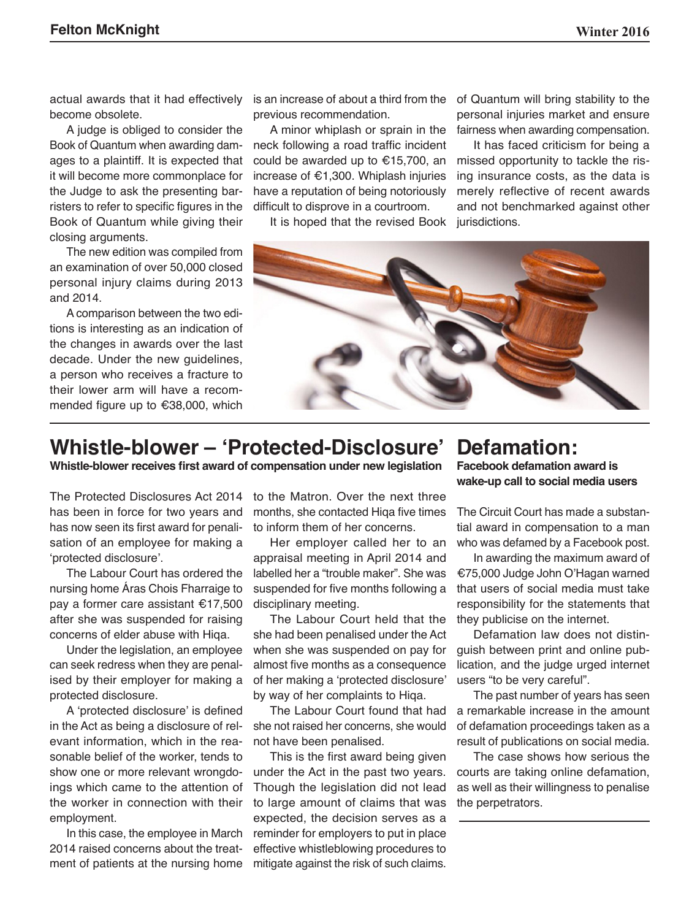actual awards that it had effectively become obsolete.

A judge is obliged to consider the Book of Quantum when awarding damages to a plaintiff. It is expected that it will become more commonplace for the Judge to ask the presenting barristers to refer to specific figures in the Book of Quantum while giving their closing arguments.

The new edition was compiled from an examination of over 50,000 closed personal injury claims during 2013 and 2014.

A comparison between the two editions is interesting as an indication of the changes in awards over the last decade. Under the new guidelines, a person who receives a fracture to their lower arm will have a recommended figure up to €38,000, which

is an increase of about a third from the previous recommendation.

A minor whiplash or sprain in the neck following a road traffic incident could be awarded up to €15,700, an increase of €1,300. Whiplash injuries have a reputation of being notoriously difficult to disprove in a courtroom.

It is hoped that the revised Book

of Quantum will bring stability to the personal injuries market and ensure fairness when awarding compensation.

It has faced criticism for being a missed opportunity to tackle the rising insurance costs, as the data is merely reflective of recent awards and not benchmarked against other jurisdictions.



## **Whistle-blower – 'Protected-Disclosure'**

**Whistle-blower receives first award of compensation under new legislation**

The Protected Disclosures Act 2014 has been in force for two years and has now seen its first award for penalisation of an employee for making a 'protected disclosure'.

The Labour Court has ordered the nursing home Áras Chois Fharraige to pay a former care assistant €17,500 after she was suspended for raising concerns of elder abuse with Hiqa.

Under the legislation, an employee can seek redress when they are penalised by their employer for making a protected disclosure.

A 'protected disclosure' is defined in the Act as being a disclosure of relevant information, which in the reasonable belief of the worker, tends to show one or more relevant wrongdoings which came to the attention of the worker in connection with their employment.

In this case, the employee in March 2014 raised concerns about the treatment of patients at the nursing home to the Matron. Over the next three months, she contacted Hiqa five times to inform them of her concerns.

Her employer called her to an appraisal meeting in April 2014 and labelled her a "trouble maker". She was suspended for five months following a disciplinary meeting.

The Labour Court held that the she had been penalised under the Act when she was suspended on pay for almost five months as a consequence of her making a 'protected disclosure' by way of her complaints to Hiqa.

The Labour Court found that had she not raised her concerns, she would not have been penalised.

This is the first award being given under the Act in the past two years. Though the legislation did not lead to large amount of claims that was expected, the decision serves as a reminder for employers to put in place effective whistleblowing procedures to mitigate against the risk of such claims.

#### **Defamation: Facebook defamation award is wake-up call to social media users**

The Circuit Court has made a substantial award in compensation to a man who was defamed by a Facebook post.

In awarding the maximum award of €75,000 Judge John O'Hagan warned that users of social media must take responsibility for the statements that they publicise on the internet.

Defamation law does not distinguish between print and online publication, and the judge urged internet users "to be very careful".

The past number of years has seen a remarkable increase in the amount of defamation proceedings taken as a result of publications on social media.

The case shows how serious the courts are taking online defamation, as well as their willingness to penalise the perpetrators.